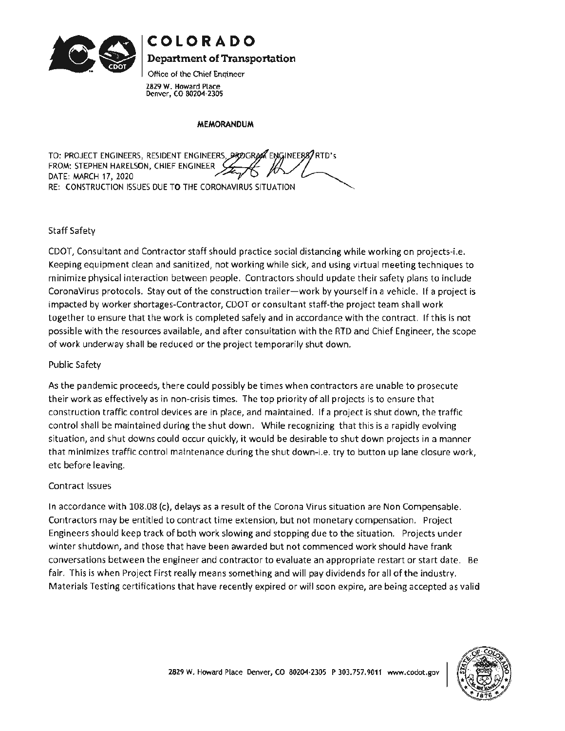

**COLORADO** 

**Department of Transportation** 

Office of the Chief Engineer **2829 W.** Howard Place Denver, CO 80204-2305

## **MEMORANDUM**

TO: PROJECT ENGINEERS, RESIDENT ENGINEERS, PROGRAM ENGINEERS/RTD's FROM: STEPHEN HARELSON, CHIEF ENGINEER DATE: MARCH 17, 2020 RE: CONSTRUCTION ISSUES DUE TO THE CORONAVIRUS SITUATION

## Staff Safety

CDOT, Consultant and Contractor staff should practice social distancing while working on projects-i.e. Keeping equipment clean and sanitized, not working while sick, and using virtual meeting techniques to minimize physical interaction between people. Contractors should update their safety plans to include Corona Virus protocols. Stay out of the construction trailer-work by yourself in a vehicle. If a project is impacted by worker shortages-Contractor, CDOT or consultant staff-the project team shall work together to ensure that the work is completed safely and in accordance with the contract. If this is not possible with the resources available, and after consultation with the RTD and Chief Engineer, the scope of work underway shall be reduced or the project temporarily shut down.

## Public Safety

As the pandemic proceeds, there could possibly be times when contractors are unable to prosecute their work as effectively as in non-crisis times. The top priority of all projects is to ensure that construction traffic control devices are in place, and maintained. If a project is shut down, the traffic control shall be maintained during the shut down. While recognizing that this is a rapidly evolving situation, and shut downs could occur quickly, it would be desirable to shut down projects in a manner that minimizes traffic control maintenance during the shut down-i.e. try to button up lane closure work, etc before leaving.

## Contract Issues

In accordance with 108.08 (c), delays as a result of the Corona Virus situation are Non Compensable. Contractors may be entitled to contract time extension, but not monetary compensation. Project Engineers should keep track of both work slowing and stopping due to the situation. Projects under winter shutdown, and those that have been awarded but not commenced work should have frank conversations between the engineer and contractor to evaluate an appropriate restart or start date. Be fair. This is when Project First really means something and will pay dividends for all of the industry. Materials Testing certifications that have recently expired or will soon expire, are being accepted as valid